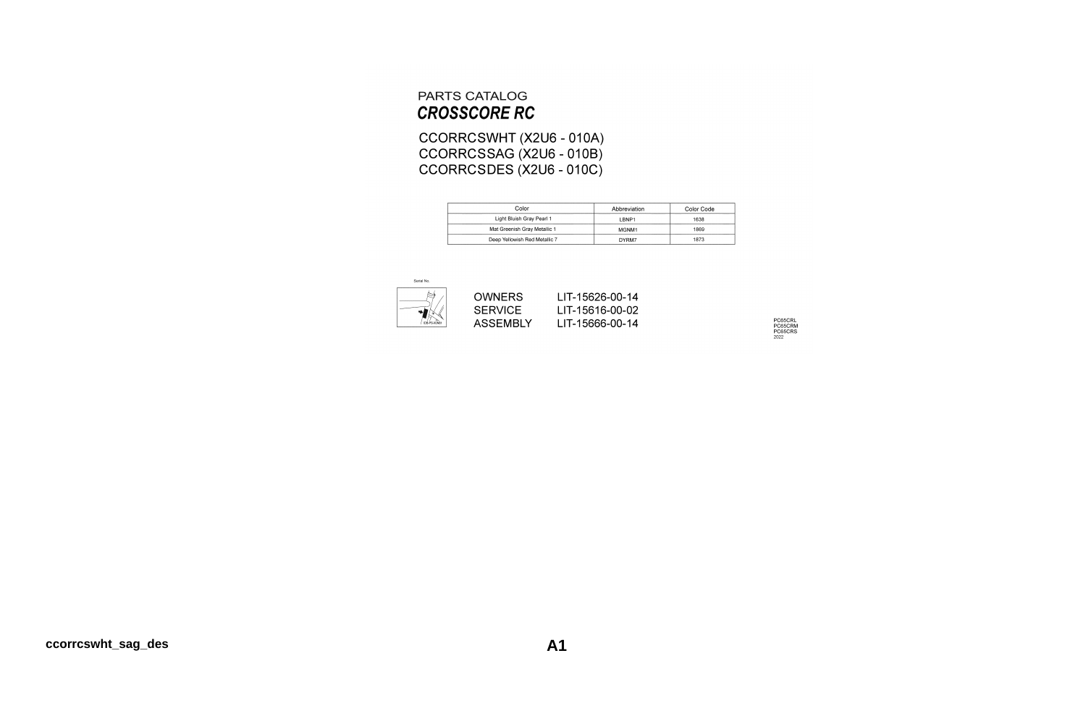#### PARTS CATALOG **CROSSCORE RC**

CCORRCSWHT (X2U6 - 010A) CCORRCSSAG (X2U6 - 010B)<br>CCORRCSDES (X2U6 - 010C)

| Color                         | Abbreviation      | Color Code |
|-------------------------------|-------------------|------------|
| Light Bluish Gray Pearl 1     | LBNP1             | 1638       |
| Mat Greenish Gray Metallic 1  | MGNM <sub>1</sub> | 1869       |
| Deep Yellowish Red Metallic 7 | DYRM7             | 1873       |



PC65CRL<br>PC65CRM<br>PC65CRS<br><sup>2022</sup>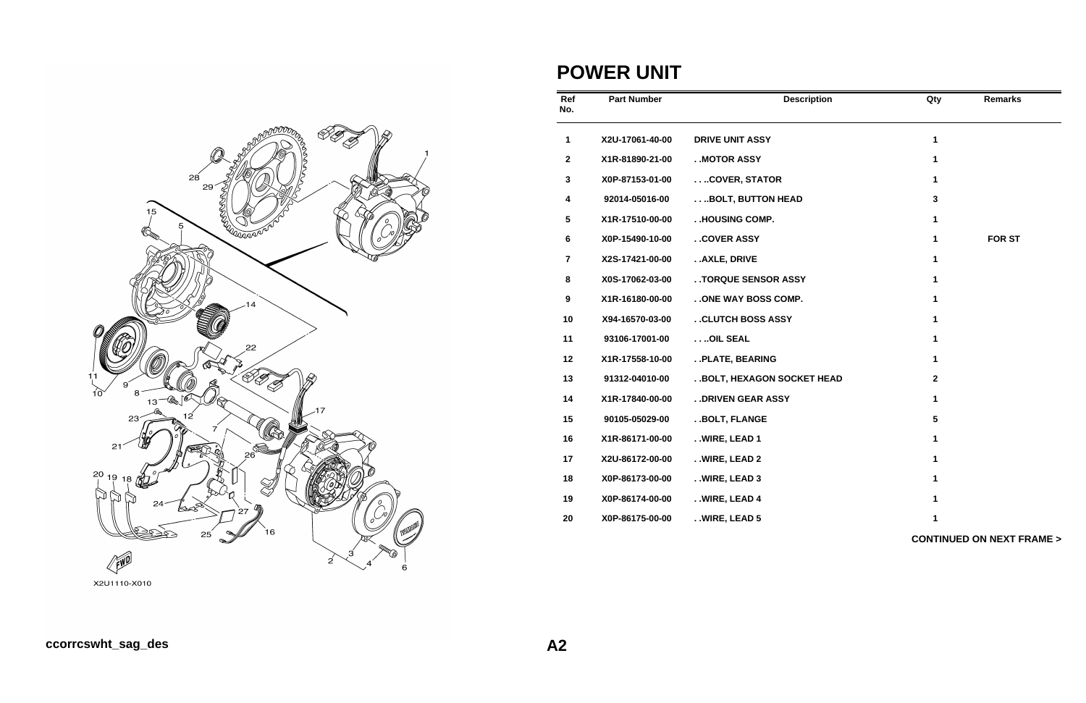

### **POWER UNIT**

| Ref<br>No.     | <b>Part Number</b> | <b>Description</b>          | Qty             | <b>Remarks</b>                      |
|----------------|--------------------|-----------------------------|-----------------|-------------------------------------|
| $\mathbf 1$    | X2U-17061-40-00    | <b>DRIVE UNIT ASSY</b>      | $\mathbf{1}$    |                                     |
| $\mathbf{2}$   | X1R-81890-21-00    | . MOTOR ASSY                | 1               |                                     |
| $\mathbf{3}$   | X0P-87153-01-00    | COVER, STATOR               | 1               |                                     |
| 4              | 92014-05016-00     | BOLT, BUTTON HEAD           | $\mathbf{3}$    |                                     |
| 5              | X1R-17510-00-00    | . .HOUSING COMP.            | $\mathbf{1}$    |                                     |
| 6              | X0P-15490-10-00    | . . COVER ASSY              | 1               | <b>FOR ST</b>                       |
| $\overline{7}$ | X2S-17421-00-00    | . . AXLE, DRIVE             | $\mathbf{1}$    |                                     |
| 8              | X0S-17062-03-00    | . . TORQUE SENSOR ASSY      | 1               |                                     |
| 9              | X1R-16180-00-00    | . . ONE WAY BOSS COMP.      | 1               |                                     |
| 10             | X94-16570-03-00    | . . CLUTCH BOSS ASSY        | 1               |                                     |
| 11             | 93106-17001-00     | OIL SEAL                    | 1               |                                     |
| 12             | X1R-17558-10-00    | . . PLATE, BEARING          | 1               |                                     |
| 13             | 91312-04010-00     | . BOLT, HEXAGON SOCKET HEAD | $\mathbf{2}$    |                                     |
| 14             | X1R-17840-00-00    | . . DRIVEN GEAR ASSY        | 1               |                                     |
| 15             | 90105-05029-00     | . . BOLT, FLANGE            | $5\phantom{.0}$ |                                     |
| 16             | X1R-86171-00-00    | . . WIRE, LEAD 1            | 1               |                                     |
| 17             | X2U-86172-00-00    | . . WIRE, LEAD 2            | 1               |                                     |
| 18             | X0P-86173-00-00    | . . WIRE, LEAD 3            | $\mathbf 1$     |                                     |
| 19             | X0P-86174-00-00    | . . WIRE, LEAD 4            | $\mathbf{1}$    |                                     |
| 20             | X0P-86175-00-00    | . . WIRE, LEAD 5            | 1               |                                     |
|                |                    |                             |                 | <b>CONTINUED ON NEXT FRAME &gt;</b> |

X2U1110-X010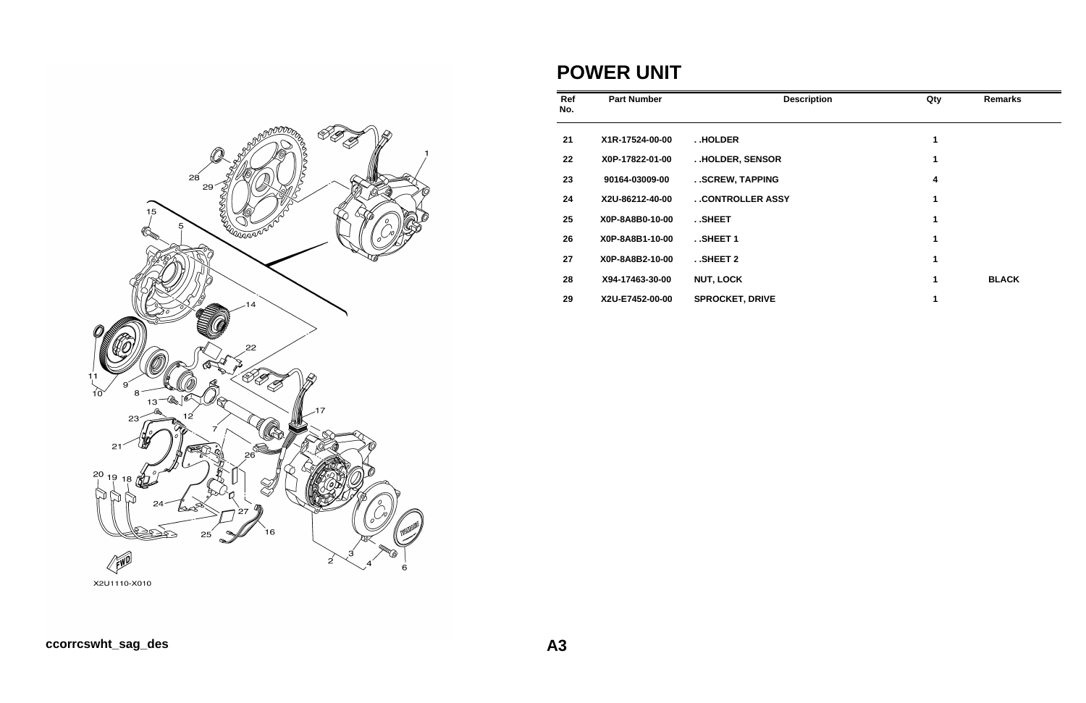

## **POWER UNIT**

| Ref<br>No. | <b>Part Number</b> | <b>Description</b>     | Qty | <b>Remarks</b> |
|------------|--------------------|------------------------|-----|----------------|
| 21         | X1R-17524-00-00    | HOLDER                 | 1   |                |
| 22         | X0P-17822-01-00    | HOLDER, SENSOR         | 1   |                |
| 23         | 90164-03009-00     | SCREW, TAPPING         | 4   |                |
| 24         | X2U-86212-40-00    | . . CONTROLLER ASSY    | 1   |                |
| 25         | X0P-8A8B0-10-00    | SHEET                  | 1   |                |
| 26         | X0P-8A8B1-10-00    | $.$ SHEET 1            | 1   |                |
| 27         | X0P-8A8B2-10-00    | . . SHEET 2            | 1   |                |
| 28         | X94-17463-30-00    | <b>NUT, LOCK</b>       | 1   | <b>BLACK</b>   |
| 29         | X2U-E7452-00-00    | <b>SPROCKET, DRIVE</b> |     |                |

X2U1110-X010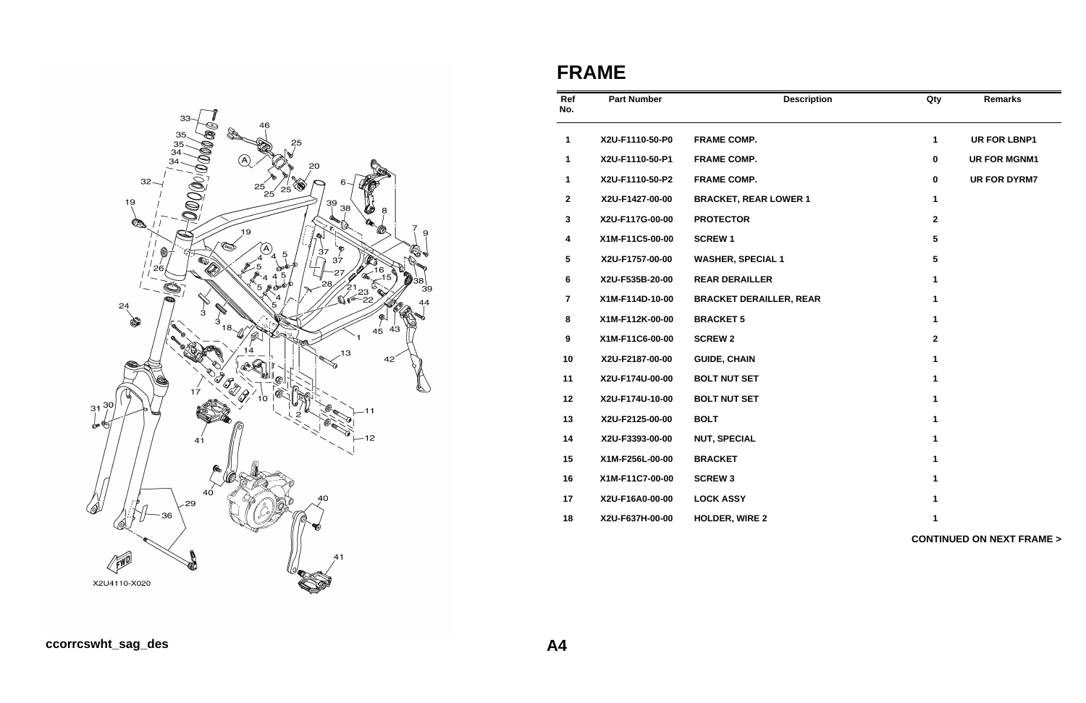

# **FRAME**

| Ref<br>No.              | <b>Part Number</b> | <b>Description</b>             | Qty             | <b>Remarks</b>                      |
|-------------------------|--------------------|--------------------------------|-----------------|-------------------------------------|
| 1                       | X2U-F1110-50-P0    | <b>FRAME COMP.</b>             | 1               | <b>UR FOR LBNP1</b>                 |
| 1                       | X2U-F1110-50-P1    | <b>FRAME COMP.</b>             | $\pmb{0}$       | <b>UR FOR MGNM1</b>                 |
| 1                       | X2U-F1110-50-P2    | <b>FRAME COMP.</b>             | $\mathbf 0$     | <b>UR FOR DYRM7</b>                 |
| $\mathbf{2}$            | X2U-F1427-00-00    | <b>BRACKET, REAR LOWER 1</b>   | $\mathbf{1}$    |                                     |
| $\mathbf{3}$            | X2U-F117G-00-00    | <b>PROTECTOR</b>               | $\mathbf{2}$    |                                     |
| $\overline{\mathbf{4}}$ | X1M-F11C5-00-00    | <b>SCREW1</b>                  | $5\phantom{.0}$ |                                     |
| $5\phantom{.0}$         | X2U-F1757-00-00    | <b>WASHER, SPECIAL 1</b>       | $5\phantom{.0}$ |                                     |
| 6                       | X2U-F535B-20-00    | <b>REAR DERAILLER</b>          | 1               |                                     |
| $\overline{7}$          | X1M-F114D-10-00    | <b>BRACKET DERAILLER, REAR</b> | 1               |                                     |
| 8                       | X1M-F112K-00-00    | <b>BRACKET 5</b>               | 1               |                                     |
| $\boldsymbol{9}$        | X1M-F11C6-00-00    | <b>SCREW 2</b>                 | $\mathbf{2}$    |                                     |
| 10                      | X2U-F2187-00-00    | <b>GUIDE, CHAIN</b>            | 1               |                                     |
| 11                      | X2U-F174U-00-00    | <b>BOLT NUT SET</b>            | $\mathbf{1}$    |                                     |
| 12                      | X2U-F174U-10-00    | <b>BOLT NUT SET</b>            | 1               |                                     |
| 13                      | X2U-F2125-00-00    | <b>BOLT</b>                    | 1               |                                     |
| 14                      | X2U-F3393-00-00    | <b>NUT, SPECIAL</b>            | $\mathbf 1$     |                                     |
| 15                      | X1M-F256L-00-00    | <b>BRACKET</b>                 | 1               |                                     |
| 16                      | X1M-F11C7-00-00    | <b>SCREW 3</b>                 | $\mathbf{1}$    |                                     |
| 17                      | X2U-F16A0-00-00    | <b>LOCK ASSY</b>               | 1               |                                     |
| 18                      | X2U-F637H-00-00    | <b>HOLDER, WIRE 2</b>          | 1               |                                     |
|                         |                    |                                |                 | <b>CONTINUED ON NEXT FRAME &gt;</b> |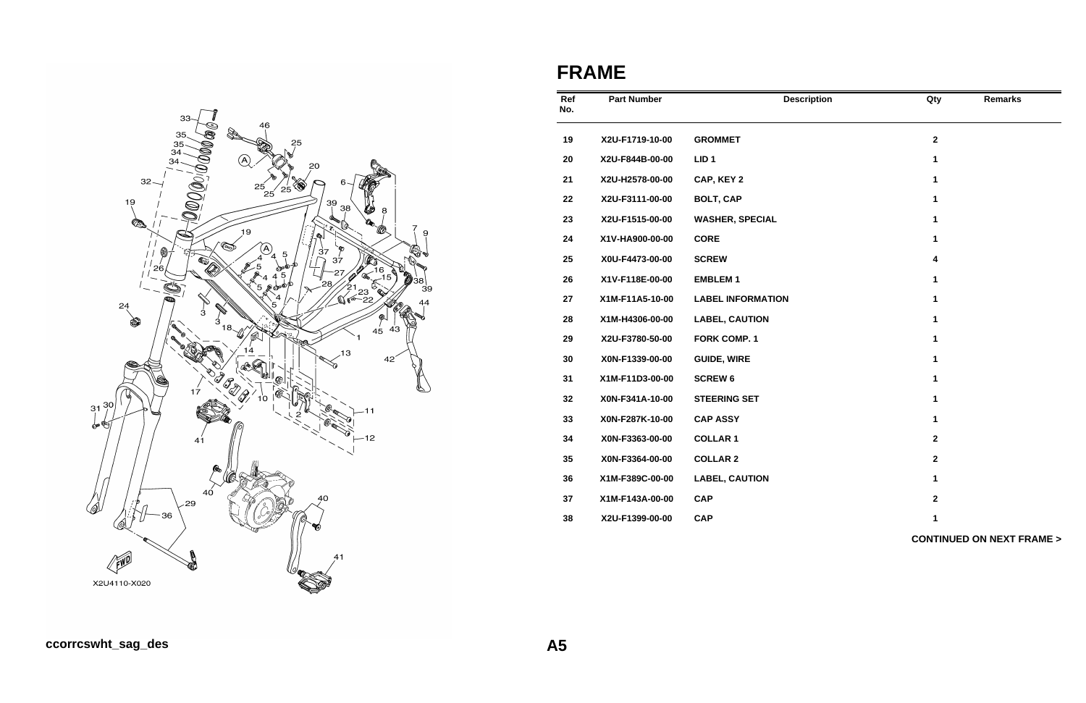

# **FRAME**

| Ref<br>No. | <b>Part Number</b> | <b>Description</b>       | Qty                     | <b>Remarks</b>                      |
|------------|--------------------|--------------------------|-------------------------|-------------------------------------|
| 19         | X2U-F1719-10-00    | <b>GROMMET</b>           | $\overline{\mathbf{2}}$ |                                     |
| 20         | X2U-F844B-00-00    | LID <sub>1</sub>         | 1                       |                                     |
| 21         | X2U-H2578-00-00    | CAP, KEY 2               | 1                       |                                     |
| 22         | X2U-F3111-00-00    | <b>BOLT, CAP</b>         | 1                       |                                     |
| 23         | X2U-F1515-00-00    | <b>WASHER, SPECIAL</b>   | 1                       |                                     |
| 24         | X1V-HA900-00-00    | <b>CORE</b>              | 1                       |                                     |
| 25         | X0U-F4473-00-00    | <b>SCREW</b>             | 4                       |                                     |
| 26         | X1V-F118E-00-00    | <b>EMBLEM1</b>           | 1                       |                                     |
| 27         | X1M-F11A5-10-00    | <b>LABEL INFORMATION</b> | 1                       |                                     |
| 28         | X1M-H4306-00-00    | <b>LABEL, CAUTION</b>    | 1                       |                                     |
| 29         | X2U-F3780-50-00    | <b>FORK COMP. 1</b>      | 1                       |                                     |
| 30         | X0N-F1339-00-00    | <b>GUIDE, WIRE</b>       | 1                       |                                     |
| 31         | X1M-F11D3-00-00    | <b>SCREW 6</b>           | 1                       |                                     |
| 32         | X0N-F341A-10-00    | <b>STEERING SET</b>      | 1                       |                                     |
| 33         | X0N-F287K-10-00    | <b>CAP ASSY</b>          | 1                       |                                     |
| 34         | X0N-F3363-00-00    | <b>COLLAR 1</b>          | $\overline{2}$          |                                     |
| 35         | X0N-F3364-00-00    | <b>COLLAR 2</b>          | $\mathbf{2}$            |                                     |
| 36         | X1M-F389C-00-00    | <b>LABEL, CAUTION</b>    | 1                       |                                     |
| 37         | X1M-F143A-00-00    | <b>CAP</b>               | $\mathbf{2}$            |                                     |
| 38         | X2U-F1399-00-00    | <b>CAP</b>               | 1                       |                                     |
|            |                    |                          |                         | <b>CONTINUED ON NEXT FRAME &gt;</b> |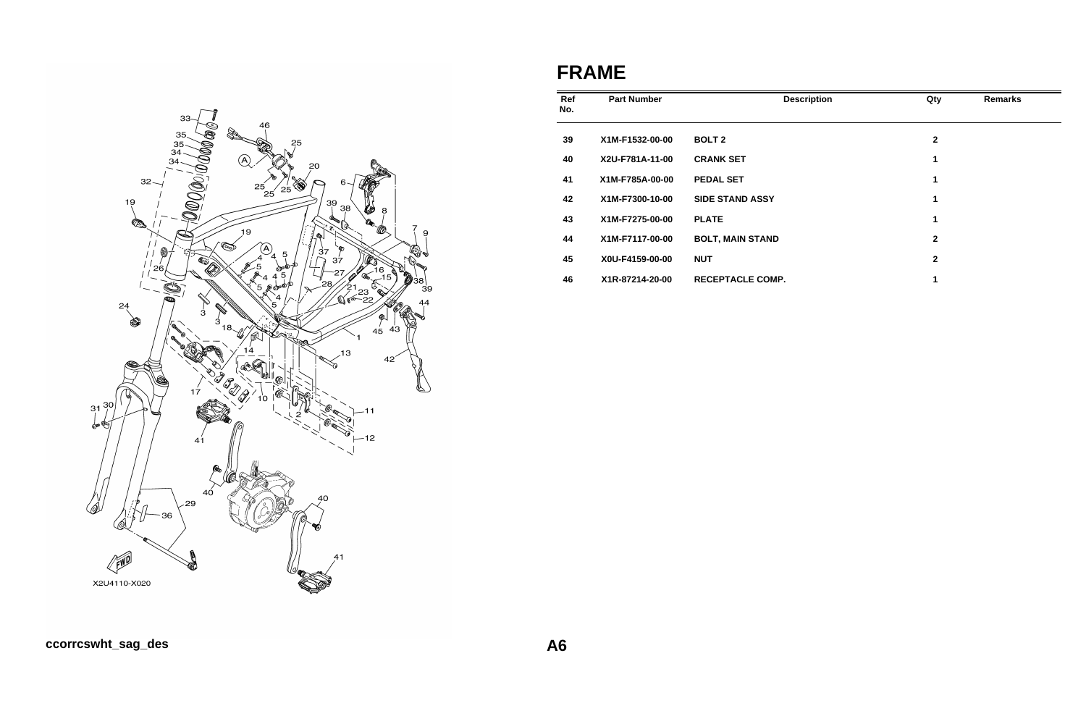

# **FRAME**

| Ref<br>No. | <b>Part Number</b> | <b>Description</b>      | Qty          | <b>Remarks</b> |
|------------|--------------------|-------------------------|--------------|----------------|
| 39         | X1M-F1532-00-00    | <b>BOLT 2</b>           | $\mathbf{2}$ |                |
| 40         | X2U-F781A-11-00    | <b>CRANK SET</b>        | 1            |                |
| 41         | X1M-F785A-00-00    | <b>PEDAL SET</b>        | 1            |                |
| 42         | X1M-F7300-10-00    | <b>SIDE STAND ASSY</b>  | 1            |                |
| 43         | X1M-F7275-00-00    | <b>PLATE</b>            | 1            |                |
| 44         | X1M-F7117-00-00    | <b>BOLT, MAIN STAND</b> | $\mathbf{2}$ |                |
| 45         | X0U-F4159-00-00    | <b>NUT</b>              | $\mathbf{2}$ |                |
| 46         | X1R-87214-20-00    | <b>RECEPTACLE COMP.</b> | 1            |                |

## **ccorrcswht\_sag\_des A6**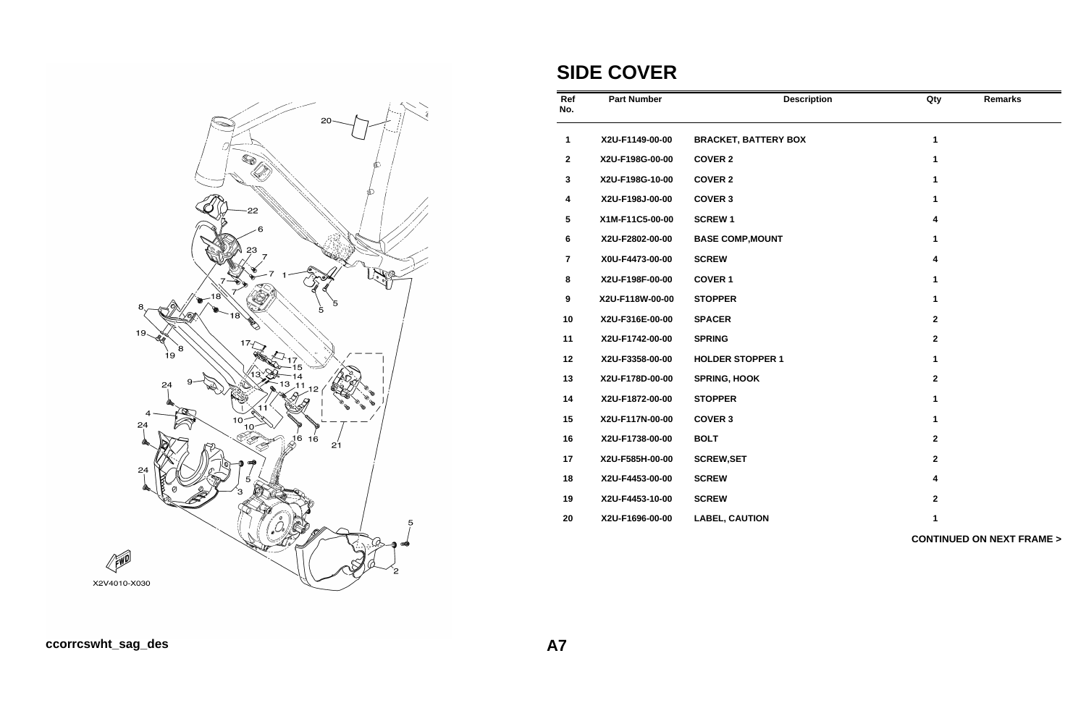

# **SIDE COVER**

| Ref<br>No.              | <b>Part Number</b> | <b>Description</b>          | Qty                     | <b>Remarks</b>                      |
|-------------------------|--------------------|-----------------------------|-------------------------|-------------------------------------|
| 1                       | X2U-F1149-00-00    | <b>BRACKET, BATTERY BOX</b> | 1                       |                                     |
| $\mathbf 2$             | X2U-F198G-00-00    | <b>COVER 2</b>              | $\mathbf{1}$            |                                     |
| 3                       | X2U-F198G-10-00    | <b>COVER 2</b>              | 1                       |                                     |
| $\overline{\mathbf{4}}$ | X2U-F198J-00-00    | <b>COVER 3</b>              | 1                       |                                     |
| 5                       | X1M-F11C5-00-00    | <b>SCREW1</b>               | 4                       |                                     |
| 6                       | X2U-F2802-00-00    | <b>BASE COMP, MOUNT</b>     | 1                       |                                     |
| $\overline{7}$          | X0U-F4473-00-00    | <b>SCREW</b>                | 4                       |                                     |
| 8                       | X2U-F198F-00-00    | <b>COVER 1</b>              | 1                       |                                     |
| 9                       | X2U-F118W-00-00    | <b>STOPPER</b>              | 1                       |                                     |
| 10                      | X2U-F316E-00-00    | <b>SPACER</b>               | $\overline{\mathbf{2}}$ |                                     |
| 11                      | X2U-F1742-00-00    | <b>SPRING</b>               | $\overline{\mathbf{2}}$ |                                     |
| 12                      | X2U-F3358-00-00    | <b>HOLDER STOPPER 1</b>     | 1                       |                                     |
| 13                      | X2U-F178D-00-00    | <b>SPRING, HOOK</b>         | $\overline{\mathbf{2}}$ |                                     |
| 14                      | X2U-F1872-00-00    | <b>STOPPER</b>              | 1                       |                                     |
| 15                      | X2U-F117N-00-00    | <b>COVER 3</b>              | 1                       |                                     |
| 16                      | X2U-F1738-00-00    | <b>BOLT</b>                 | $\overline{\mathbf{2}}$ |                                     |
| 17                      | X2U-F585H-00-00    | <b>SCREW, SET</b>           | $\overline{\mathbf{2}}$ |                                     |
| 18                      | X2U-F4453-00-00    | <b>SCREW</b>                | 4                       |                                     |
| 19                      | X2U-F4453-10-00    | <b>SCREW</b>                | $\mathbf{2}$            |                                     |
| 20                      | X2U-F1696-00-00    | <b>LABEL, CAUTION</b>       | 1                       |                                     |
|                         |                    |                             |                         | <b>CONTINUED ON NEXT FRAME &gt;</b> |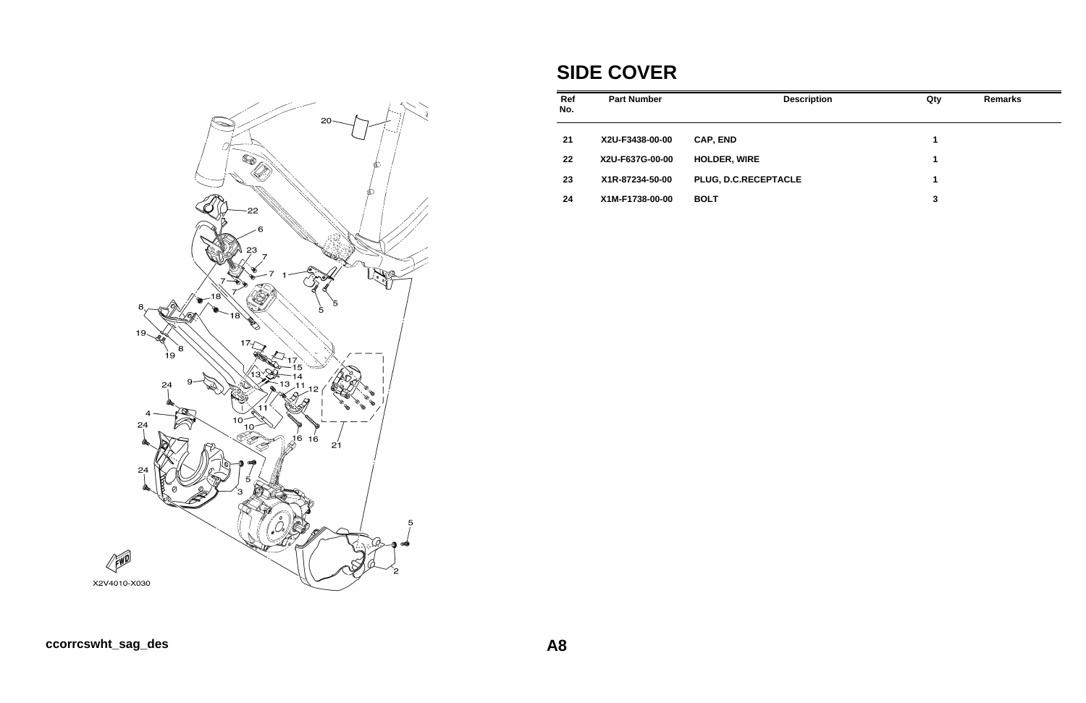

# **SIDE COVER**

| <b>Part Number</b> | <b>Description</b>   | Qty | <b>Remarks</b> |
|--------------------|----------------------|-----|----------------|
| X2U-F3438-00-00    | <b>CAP, END</b>      | 1   |                |
| X2U-F637G-00-00    | <b>HOLDER, WIRE</b>  | 1   |                |
| X1R-87234-50-00    | PLUG, D.C.RECEPTACLE | 1   |                |
| X1M-F1738-00-00    | <b>BOLT</b>          | 3   |                |
|                    |                      |     |                |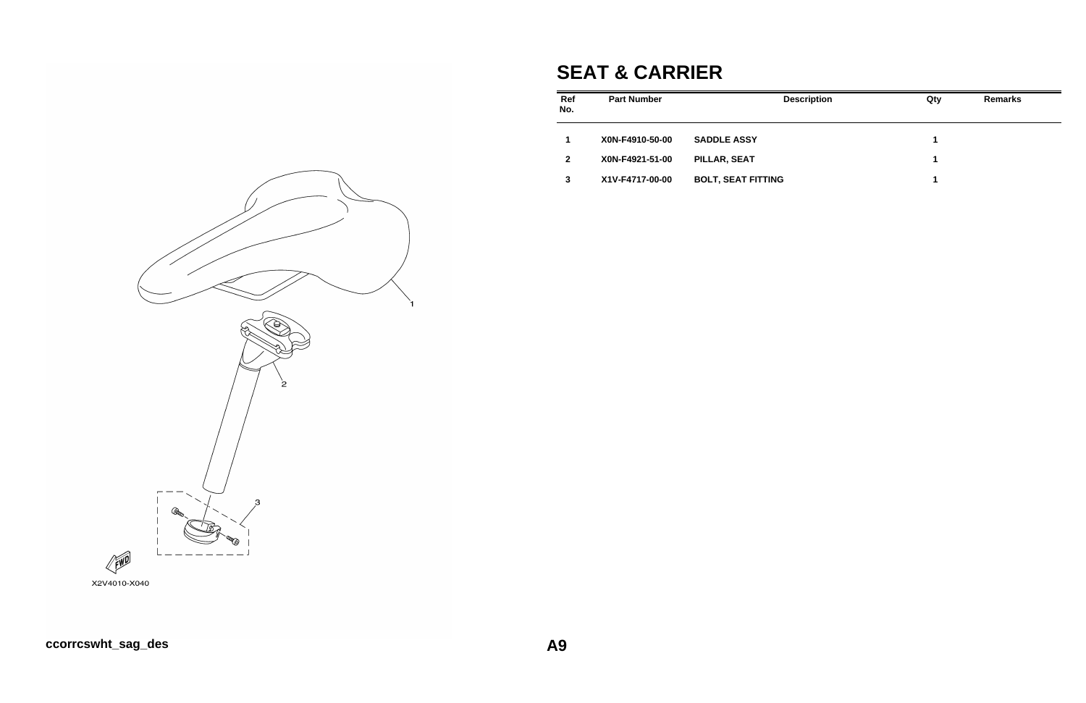# **SEAT & CARRIER**

| Ref<br>No.     | <b>Part Number</b> | <b>Description</b>        | Qty | <b>Remarks</b> |
|----------------|--------------------|---------------------------|-----|----------------|
|                | X0N-F4910-50-00    | <b>SADDLE ASSY</b>        | 1   |                |
| $\overline{2}$ | X0N-F4921-51-00    | PILLAR, SEAT              | 1   |                |
| 3              | X1V-F4717-00-00    | <b>BOLT, SEAT FITTING</b> | 1   |                |

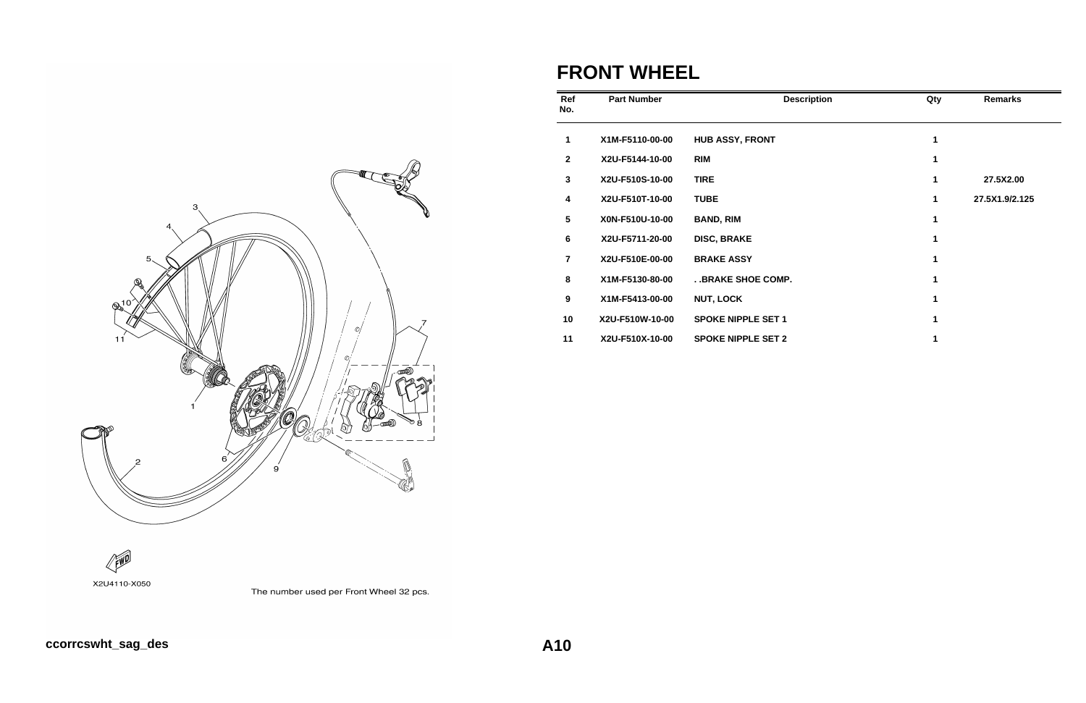

### **FRONT WHEEL**

| Ref<br>No.       | <b>Part Number</b> | <b>Description</b>        | Qty         | <b>Remarks</b> |
|------------------|--------------------|---------------------------|-------------|----------------|
| 1                | X1M-F5110-00-00    | <b>HUB ASSY, FRONT</b>    | 1           |                |
| $\mathbf{2}$     | X2U-F5144-10-00    | <b>RIM</b>                | 1           |                |
| $\mathbf{3}$     | X2U-F510S-10-00    | <b>TIRE</b>               | $\mathbf 1$ | 27.5X2.00      |
| 4                | X2U-F510T-10-00    | <b>TUBE</b>               | 1           | 27.5X1.9/2.125 |
| $5\phantom{.0}$  | X0N-F510U-10-00    | <b>BAND, RIM</b>          | 1           |                |
| 6                | X2U-F5711-20-00    | <b>DISC, BRAKE</b>        | 1           |                |
| $\overline{7}$   | X2U-F510E-00-00    | <b>BRAKE ASSY</b>         | 1           |                |
| 8                | X1M-F5130-80-00    | . . BRAKE SHOE COMP.      | 1           |                |
| $\boldsymbol{9}$ | X1M-F5413-00-00    | <b>NUT, LOCK</b>          |             |                |
| 10               | X2U-F510W-10-00    | <b>SPOKE NIPPLE SET 1</b> |             |                |
| 11               | X2U-F510X-10-00    | <b>SPOKE NIPPLE SET 2</b> |             |                |



The number used per Front Wheel 32 pcs.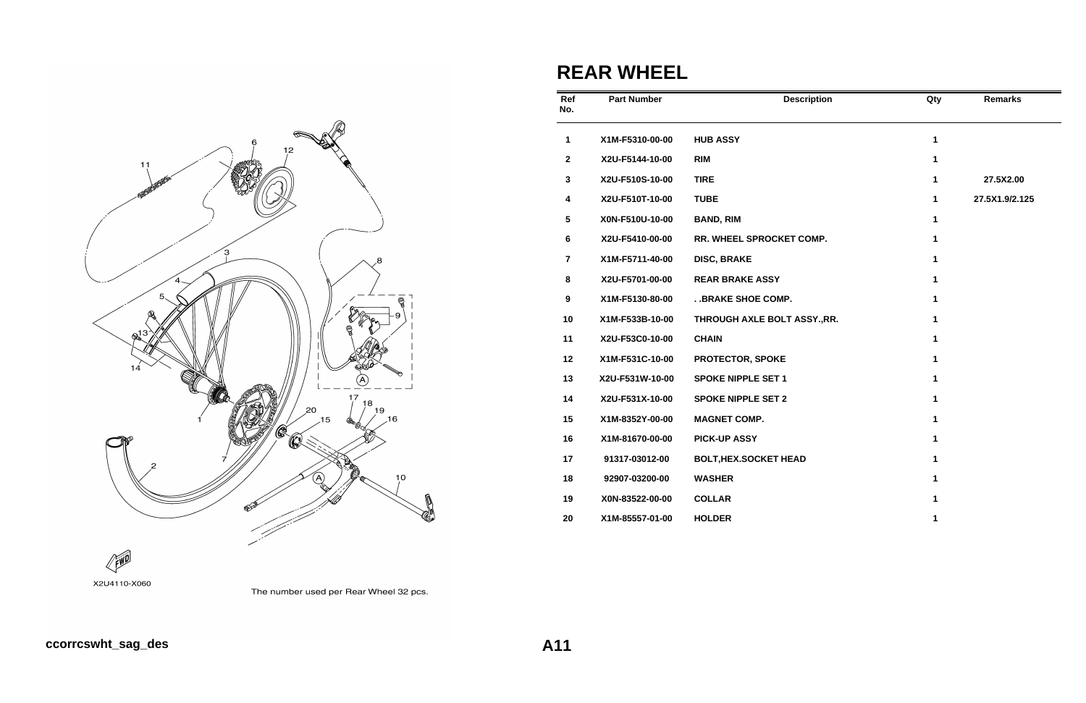

# **REAR WHEEL**

| Ref<br>No.      | <b>Part Number</b> | <b>Description</b>           | Qty          | <b>Remarks</b> |
|-----------------|--------------------|------------------------------|--------------|----------------|
| 1               | X1M-F5310-00-00    | <b>HUB ASSY</b>              | $\mathbf{1}$ |                |
| $\mathbf{2}$    | X2U-F5144-10-00    | <b>RIM</b>                   | 1            |                |
| $\mathbf{3}$    | X2U-F510S-10-00    | <b>TIRE</b>                  | 1            | 27.5X2.00      |
| 4               | X2U-F510T-10-00    | <b>TUBE</b>                  | 1            | 27.5X1.9/2.125 |
| $5\phantom{.0}$ | X0N-F510U-10-00    | <b>BAND, RIM</b>             | 1            |                |
| 6               | X2U-F5410-00-00    | RR. WHEEL SPROCKET COMP.     | $\mathbf{1}$ |                |
| $\overline{7}$  | X1M-F5711-40-00    | <b>DISC, BRAKE</b>           | 1            |                |
| 8               | X2U-F5701-00-00    | <b>REAR BRAKE ASSY</b>       | 1            |                |
| 9               | X1M-F5130-80-00    | . . BRAKE SHOE COMP.         | 1            |                |
| 10              | X1M-F533B-10-00    | THROUGH AXLE BOLT ASSY., RR. | 1            |                |
| 11              | X2U-F53C0-10-00    | <b>CHAIN</b>                 | 1            |                |
| 12              | X1M-F531C-10-00    | PROTECTOR, SPOKE             | 1            |                |
| 13              | X2U-F531W-10-00    | <b>SPOKE NIPPLE SET 1</b>    | $\mathbf{1}$ |                |
| 14              | X2U-F531X-10-00    | <b>SPOKE NIPPLE SET 2</b>    | $\mathbf{1}$ |                |
| 15              | X1M-8352Y-00-00    | <b>MAGNET COMP.</b>          | 1            |                |
| 16              | X1M-81670-00-00    | <b>PICK-UP ASSY</b>          | 1            |                |
| 17              | 91317-03012-00     | <b>BOLT, HEX.SOCKET HEAD</b> | 1            |                |
| 18              | 92907-03200-00     | <b>WASHER</b>                | 1            |                |
| 19              | X0N-83522-00-00    | <b>COLLAR</b>                | 1            |                |
| 20              | X1M-85557-01-00    | <b>HOLDER</b>                | 1            |                |

#### FWD X2U4110-X060



#### **ccorrcswht\_sag\_des A11**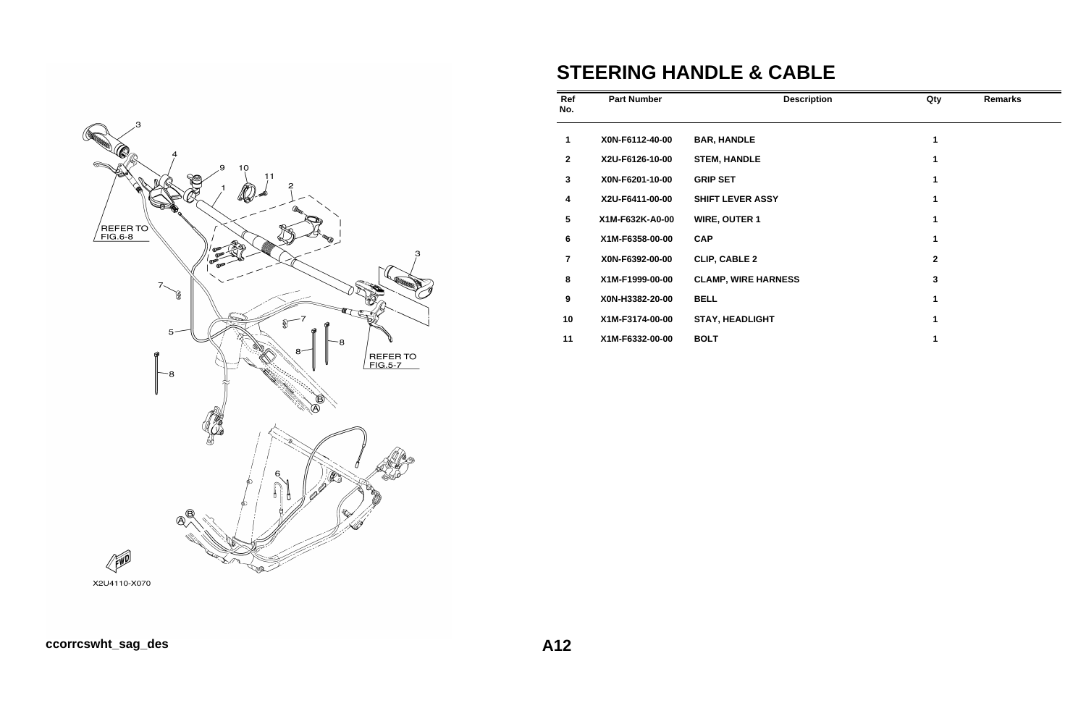

# **STEERING HANDLE & CABLE**

| Ref<br>No.      | <b>Part Number</b> | <b>Description</b>         | Qty         | <b>Remarks</b> |
|-----------------|--------------------|----------------------------|-------------|----------------|
| 1               | X0N-F6112-40-00    | <b>BAR, HANDLE</b>         | 1           |                |
| $\mathbf{2}$    | X2U-F6126-10-00    | <b>STEM, HANDLE</b>        | 1           |                |
| 3               | X0N-F6201-10-00    | <b>GRIP SET</b>            | 1           |                |
| 4               | X2U-F6411-00-00    | <b>SHIFT LEVER ASSY</b>    | 1           |                |
| $5\phantom{.0}$ | X1M-F632K-A0-00    | <b>WIRE, OUTER 1</b>       | 1           |                |
| 6               | X1M-F6358-00-00    | <b>CAP</b>                 | 1           |                |
| $\overline{7}$  | X0N-F6392-00-00    | <b>CLIP, CABLE 2</b>       | $\mathbf 2$ |                |
| 8               | X1M-F1999-00-00    | <b>CLAMP, WIRE HARNESS</b> | 3           |                |
| 9               | X0N-H3382-20-00    | <b>BELL</b>                |             |                |
| 10              | X1M-F3174-00-00    | <b>STAY, HEADLIGHT</b>     |             |                |
| 11              | X1M-F6332-00-00    | <b>BOLT</b>                |             |                |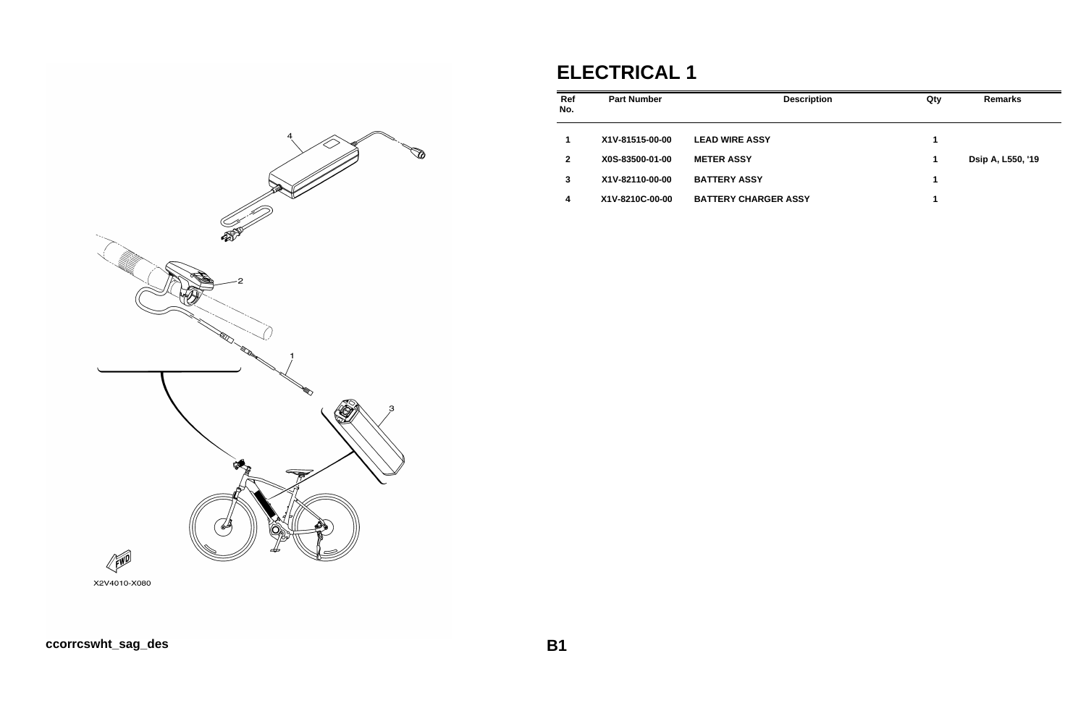# **ELECTRICAL 1**

| Ref<br>No.   | <b>Part Number</b> | <b>Description</b>          | Qty | <b>Remarks</b>    |
|--------------|--------------------|-----------------------------|-----|-------------------|
| 1            | X1V-81515-00-00    | <b>LEAD WIRE ASSY</b>       | 1   |                   |
| $\mathbf{2}$ | X0S-83500-01-00    | <b>METER ASSY</b>           | 1   | Dsip A, L550, '19 |
| 3            | X1V-82110-00-00    | <b>BATTERY ASSY</b>         | 1   |                   |
| 4            | X1V-8210C-00-00    | <b>BATTERY CHARGER ASSY</b> | 1   |                   |

![](_page_12_Figure_2.jpeg)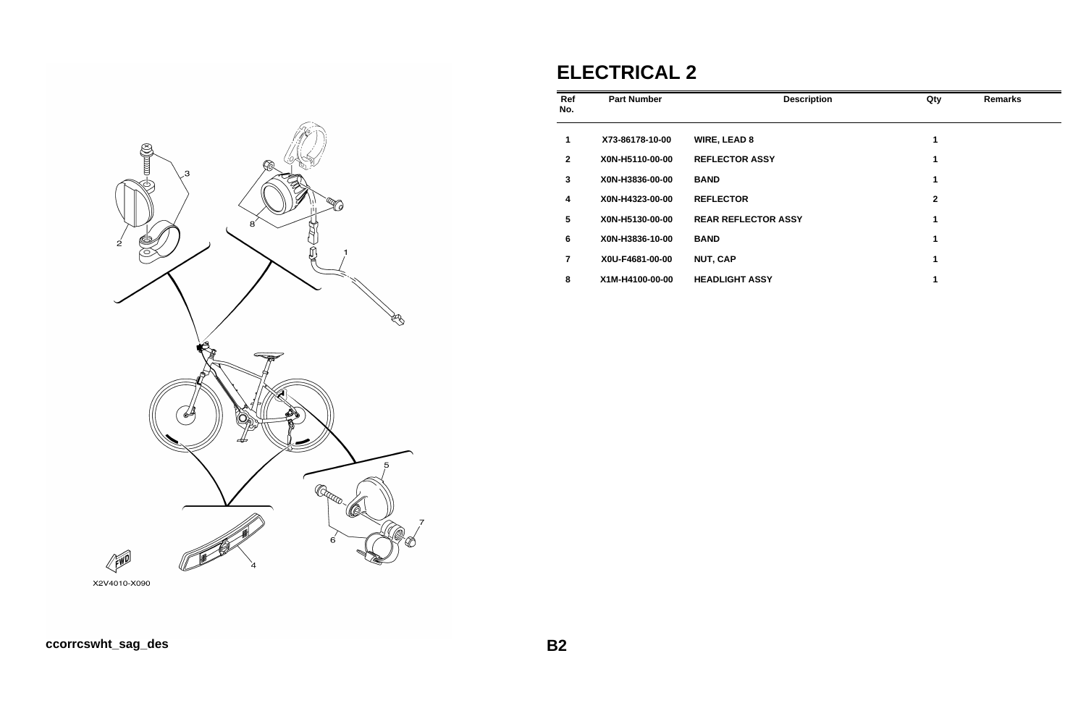![](_page_13_Figure_0.jpeg)

# **ELECTRICAL 2**

| Ref<br>No.      | <b>Part Number</b> | <b>Description</b>         | Qty          | <b>Remarks</b> |
|-----------------|--------------------|----------------------------|--------------|----------------|
| 1               | X73-86178-10-00    | <b>WIRE, LEAD 8</b>        | 1            |                |
| $\mathbf{2}$    | X0N-H5110-00-00    | <b>REFLECTOR ASSY</b>      | 1            |                |
| 3               | X0N-H3836-00-00    | <b>BAND</b>                | 1            |                |
| 4               | X0N-H4323-00-00    | <b>REFLECTOR</b>           | $\mathbf{2}$ |                |
| $5\phantom{.0}$ | X0N-H5130-00-00    | <b>REAR REFLECTOR ASSY</b> | 1            |                |
| 6               | X0N-H3836-10-00    | <b>BAND</b>                | 1            |                |
| $\overline{7}$  | X0U-F4681-00-00    | <b>NUT, CAP</b>            | 1            |                |
| 8               | X1M-H4100-00-00    | <b>HEADLIGHT ASSY</b>      | 1            |                |

X2V4010-X090